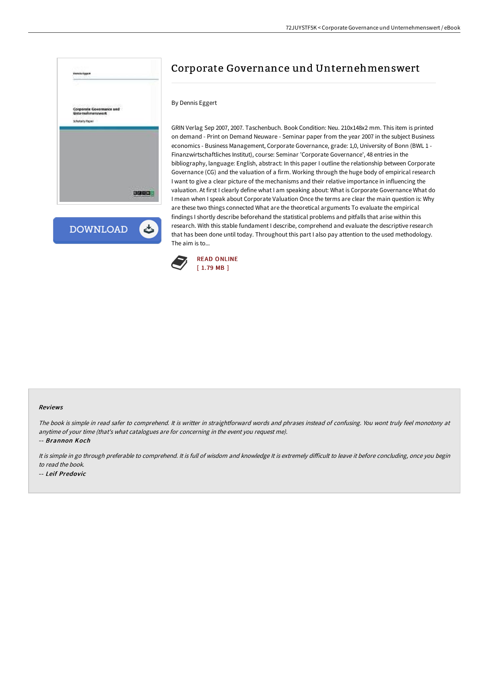

**DOWNLOAD** ٹ

# Corporate Governance und Unternehmenswert

## By Dennis Eggert

GRIN Verlag Sep 2007, 2007. Taschenbuch. Book Condition: Neu. 210x148x2 mm. This item is printed on demand - Print on Demand Neuware - Seminar paper from the year 2007 in the subject Business economics - Business Management, Corporate Governance, grade: 1,0, University of Bonn (BWL 1 - Finanzwirtschaftliches Institut), course: Seminar 'Corporate Governance', 48 entries in the bibliography, language: English, abstract: In this paper I outline the relationship between Corporate Governance (CG) and the valuation of a firm. Working through the huge body of empirical research I want to give a clear picture of the mechanisms and their relative importance in influencing the valuation. At first I clearly define what I am speaking about: What is Corporate Governance What do I mean when I speak about Corporate Valuation Once the terms are clear the main question is: Why are these two things connected What are the theoretical arguments To evaluate the empirical findings I shortly describe beforehand the statistical problems and pitfalls that arise within this research. With this stable fundament I describe, comprehend and evaluate the descriptive research that has been done until today. Throughout this part I also pay attention to the used methodology. The aim is to...



#### Reviews

The book is simple in read safer to comprehend. It is writter in straightforward words and phrases instead of confusing. You wont truly feel monotony at anytime of your time (that's what catalogues are for concerning in the event you request me).

-- Brannon Koch

It is simple in go through preferable to comprehend. It is full of wisdom and knowledge It is extremely difficult to leave it before concluding, once you begin to read the book.

-- Leif Predovic